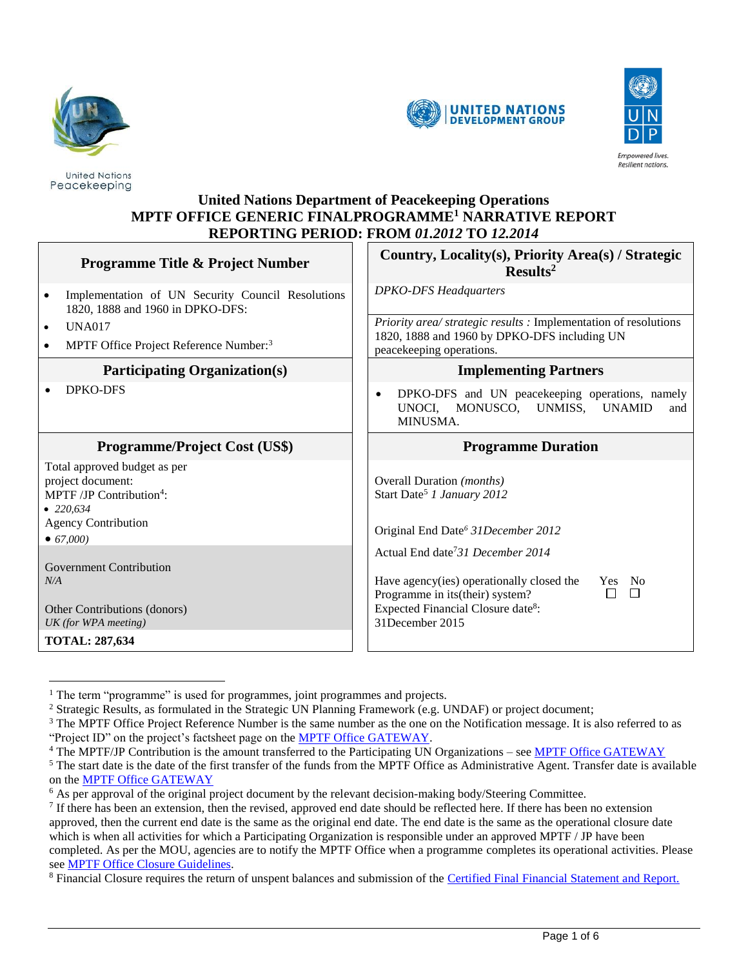

**United Nations** 





#### Peacekeeping **United Nations Department of Peacekeeping Operations MPTF OFFICE GENERIC FINALPROGRAMME<sup>1</sup> NARRATIVE REPORT REPORTING PERIOD: FROM** *01.2012* **TO** *12.2014*

| <b>Programme Title &amp; Project Number</b>                                                                                                   | Country, Locality(s), Priority Area(s) / Strategic<br>Results <sup>2</sup>                                                                   |
|-----------------------------------------------------------------------------------------------------------------------------------------------|----------------------------------------------------------------------------------------------------------------------------------------------|
| Implementation of UN Security Council Resolutions<br>$\bullet$<br>1820, 1888 and 1960 in DPKO-DFS:                                            | <b>DPKO-DFS Headquarters</b>                                                                                                                 |
| <b>UNA017</b><br>$\bullet$<br>MPTF Office Project Reference Number: <sup>3</sup><br>٠                                                         | Priority area/ strategic results : Implementation of resolutions<br>1820, 1888 and 1960 by DPKO-DFS including UN<br>peacekeeping operations. |
| <b>Participating Organization(s)</b>                                                                                                          | <b>Implementing Partners</b>                                                                                                                 |
| <b>DPKO-DFS</b>                                                                                                                               | DPKO-DFS and UN peacekeeping operations, namely<br>$\bullet$<br>UNOCI, MONUSCO, UNMISS, UNAMID<br>and<br>MINUSMA.                            |
| <b>Programme/Project Cost (US\$)</b>                                                                                                          | <b>Programme Duration</b>                                                                                                                    |
| Total approved budget as per<br>project document:<br>$MPTF/JP$ Contribution <sup>4</sup> :<br>$\bullet$ 220.634<br><b>Agency Contribution</b> | Overall Duration (months)<br>Start Date <sup>5</sup> 1 January 2012                                                                          |
| $\bullet$ 67,000)                                                                                                                             | Original End Date <sup>6</sup> 31 December 2012<br>Actual End date <sup>7</sup> 31 December 2014                                             |
| Government Contribution<br>N/A                                                                                                                | Have agency (ies) operationally closed the<br>Yes No<br>П<br>П<br>Programme in its(their) system?                                            |
| Other Contributions (donors)<br>UK (for WPA meeting)                                                                                          | Expected Financial Closure date <sup>8</sup> :<br>31December 2015                                                                            |
| <b>TOTAL: 287,634</b>                                                                                                                         |                                                                                                                                              |

 $\overline{a}$ <sup>1</sup> The term "programme" is used for programmes, joint programmes and projects.

<sup>2</sup> Strategic Results, as formulated in the Strategic UN Planning Framework (e.g. UNDAF) or project document;

<sup>&</sup>lt;sup>3</sup> The MPTF Office Project Reference Number is the same number as the one on the Notification message. It is also referred to as "Project ID" on the project's factsheet page on the **MPTF** Office GATEWAY.

<sup>&</sup>lt;sup>4</sup> The MPTF/JP Contribution is the amount transferred to the Participating UN Organizations – se[e MPTF Office GATEWAY](http://mdtf.undp.org/)

<sup>&</sup>lt;sup>5</sup> The start date is the date of the first transfer of the funds from the MPTF Office as Administrative Agent. Transfer date is available on the [MPTF Office GATEWAY](http://mdtf.undp.org/)

<sup>&</sup>lt;sup>6</sup> As per approval of the original project document by the relevant decision-making body/Steering Committee.

 $<sup>7</sup>$  If there has been an extension, then the revised, approved end date should be reflected here. If there has been no extension</sup> approved, then the current end date is the same as the original end date. The end date is the same as the operational closure date which is when all activities for which a Participating Organization is responsible under an approved MPTF / JP have been completed. As per the MOU, agencies are to notify the MPTF Office when a programme completes its operational activities. Please se[e MPTF Office Closure Guidelines.](http://mdtf.undp.org/document/download/5449)

<sup>&</sup>lt;sup>8</sup> Financial Closure requires the return of unspent balances and submission of the [Certified Final Financial Statement and Report.](http://mdtf.undp.org/document/download/5388)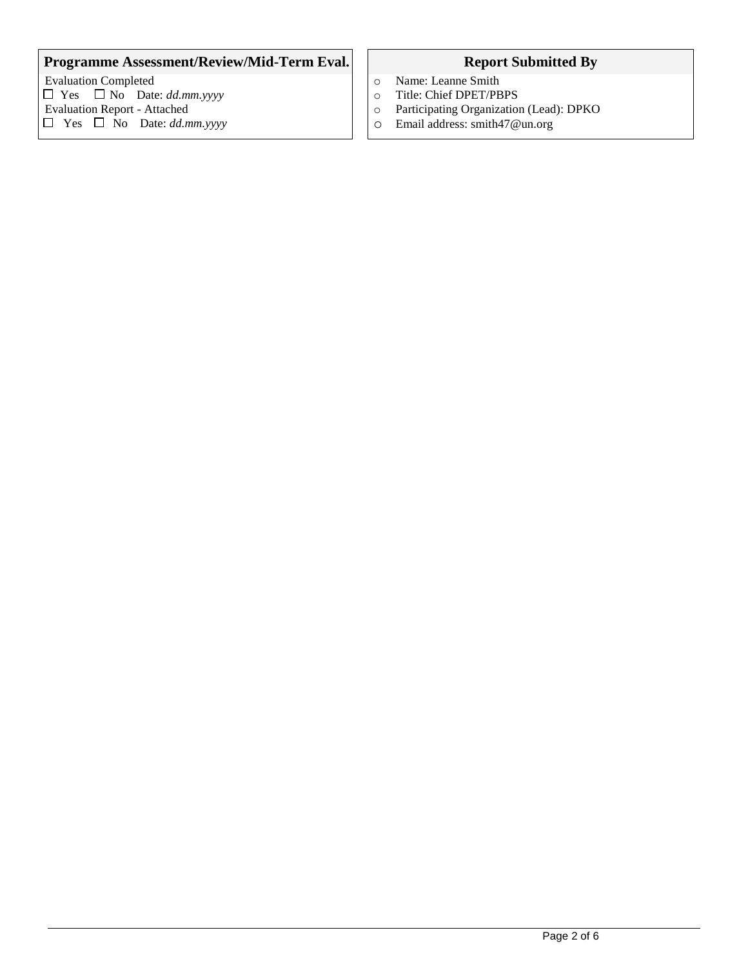# **Programme Assessment/Review/Mid-Term Eval.** Report Submitted By

Evaluation Completed  $\Box$  Yes  $\Box$  No Date: *dd.mm.yyyy* 

- Evaluation Report Attached
- $\Box$  Yes  $\Box$  No Date: *dd.mm.yyyy*

- o Name: Leanne Smith
- Title: Chief DPET/PBPS
- o Participating Organization (Lead): DPKO
- o Email address: smith47@un.org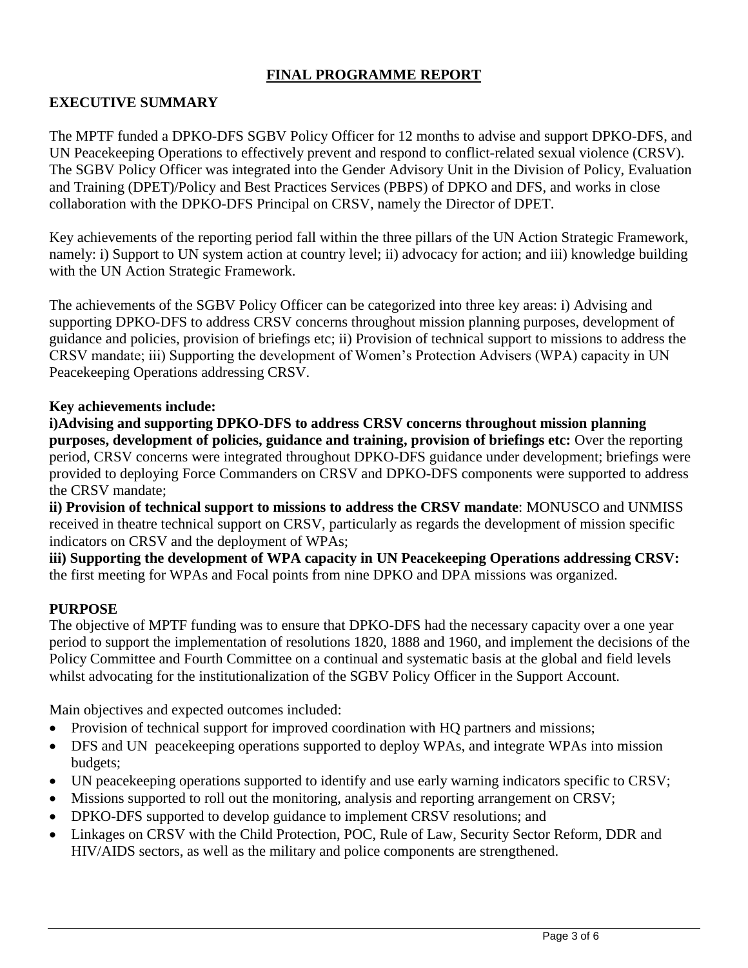# **FINAL PROGRAMME REPORT**

## **EXECUTIVE SUMMARY**

The MPTF funded a DPKO-DFS SGBV Policy Officer for 12 months to advise and support DPKO-DFS, and UN Peacekeeping Operations to effectively prevent and respond to conflict-related sexual violence (CRSV). The SGBV Policy Officer was integrated into the Gender Advisory Unit in the Division of Policy, Evaluation and Training (DPET)/Policy and Best Practices Services (PBPS) of DPKO and DFS, and works in close collaboration with the DPKO-DFS Principal on CRSV, namely the Director of DPET.

Key achievements of the reporting period fall within the three pillars of the UN Action Strategic Framework, namely: i) Support to UN system action at country level; ii) advocacy for action; and iii) knowledge building with the UN Action Strategic Framework.

The achievements of the SGBV Policy Officer can be categorized into three key areas: i) Advising and supporting DPKO-DFS to address CRSV concerns throughout mission planning purposes, development of guidance and policies, provision of briefings etc; ii) Provision of technical support to missions to address the CRSV mandate; iii) Supporting the development of Women's Protection Advisers (WPA) capacity in UN Peacekeeping Operations addressing CRSV.

#### **Key achievements include:**

**i)Advising and supporting DPKO-DFS to address CRSV concerns throughout mission planning purposes, development of policies, guidance and training, provision of briefings etc:** Over the reporting period, CRSV concerns were integrated throughout DPKO-DFS guidance under development; briefings were provided to deploying Force Commanders on CRSV and DPKO-DFS components were supported to address the CRSV mandate;

**ii) Provision of technical support to missions to address the CRSV mandate**: MONUSCO and UNMISS received in theatre technical support on CRSV, particularly as regards the development of mission specific indicators on CRSV and the deployment of WPAs;

**iii) Supporting the development of WPA capacity in UN Peacekeeping Operations addressing CRSV:** the first meeting for WPAs and Focal points from nine DPKO and DPA missions was organized.

## **PURPOSE**

The objective of MPTF funding was to ensure that DPKO-DFS had the necessary capacity over a one year period to support the implementation of resolutions 1820, 1888 and 1960, and implement the decisions of the Policy Committee and Fourth Committee on a continual and systematic basis at the global and field levels whilst advocating for the institutionalization of the SGBV Policy Officer in the Support Account.

Main objectives and expected outcomes included:

- Provision of technical support for improved coordination with HQ partners and missions;
- DFS and UN peace keeping operations supported to deploy WPAs, and integrate WPAs into mission budgets;
- UN peacekeeping operations supported to identify and use early warning indicators specific to CRSV;
- Missions supported to roll out the monitoring, analysis and reporting arrangement on CRSV;
- DPKO-DFS supported to develop guidance to implement CRSV resolutions; and
- Linkages on CRSV with the Child Protection, POC, Rule of Law, Security Sector Reform, DDR and HIV/AIDS sectors, as well as the military and police components are strengthened.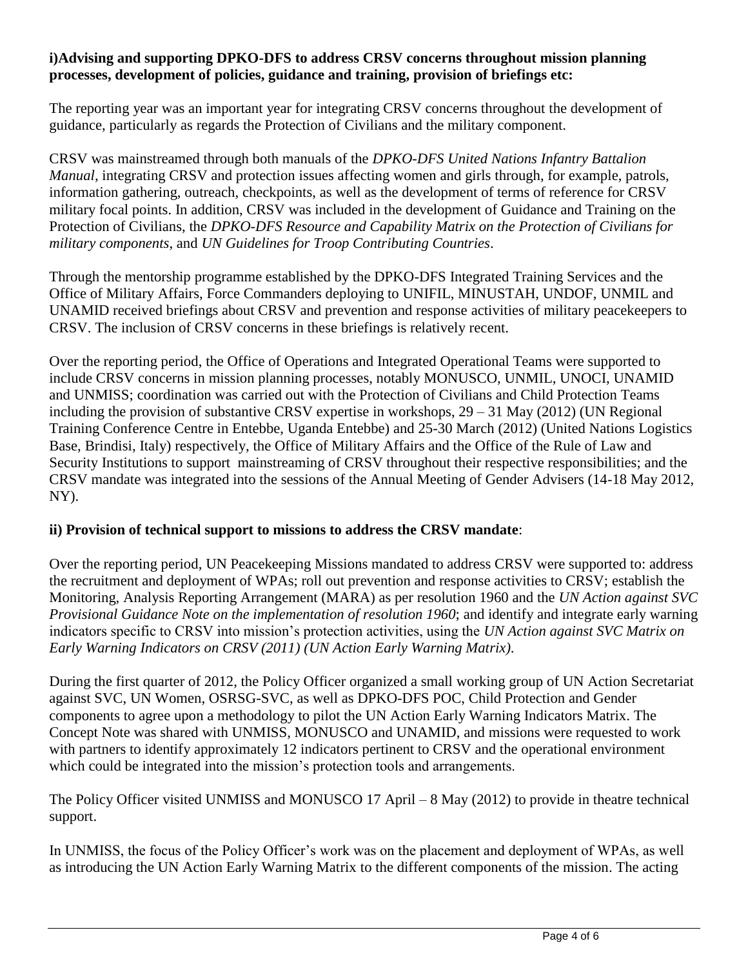## **i)Advising and supporting DPKO-DFS to address CRSV concerns throughout mission planning processes, development of policies, guidance and training, provision of briefings etc:**

The reporting year was an important year for integrating CRSV concerns throughout the development of guidance, particularly as regards the Protection of Civilians and the military component.

CRSV was mainstreamed through both manuals of the *DPKO-DFS United Nations Infantry Battalion Manual*, integrating CRSV and protection issues affecting women and girls through, for example, patrols, information gathering, outreach, checkpoints, as well as the development of terms of reference for CRSV military focal points. In addition, CRSV was included in the development of Guidance and Training on the Protection of Civilians, the *DPKO-DFS Resource and Capability Matrix on the Protection of Civilians for military components*, and *UN Guidelines for Troop Contributing Countries*.

Through the mentorship programme established by the DPKO-DFS Integrated Training Services and the Office of Military Affairs, Force Commanders deploying to UNIFIL, MINUSTAH, UNDOF, UNMIL and UNAMID received briefings about CRSV and prevention and response activities of military peacekeepers to CRSV. The inclusion of CRSV concerns in these briefings is relatively recent.

Over the reporting period, the Office of Operations and Integrated Operational Teams were supported to include CRSV concerns in mission planning processes, notably MONUSCO, UNMIL, UNOCI, UNAMID and UNMISS; coordination was carried out with the Protection of Civilians and Child Protection Teams including the provision of substantive CRSV expertise in workshops,  $29 - 31$  May (2012) (UN Regional Training Conference Centre in Entebbe, Uganda Entebbe) and 25-30 March (2012) (United Nations Logistics Base, Brindisi, Italy) respectively, the Office of Military Affairs and the Office of the Rule of Law and Security Institutions to support mainstreaming of CRSV throughout their respective responsibilities; and the CRSV mandate was integrated into the sessions of the Annual Meeting of Gender Advisers (14-18 May 2012, NY).

## **ii) Provision of technical support to missions to address the CRSV mandate**:

Over the reporting period, UN Peacekeeping Missions mandated to address CRSV were supported to: address the recruitment and deployment of WPAs; roll out prevention and response activities to CRSV; establish the Monitoring, Analysis Reporting Arrangement (MARA) as per resolution 1960 and the *UN Action against SVC Provisional Guidance Note on the implementation of resolution 1960*; and identify and integrate early warning indicators specific to CRSV into mission's protection activities, using the *UN Action against SVC Matrix on Early Warning Indicators on CRSV (2011) (UN Action Early Warning Matrix)*.

During the first quarter of 2012, the Policy Officer organized a small working group of UN Action Secretariat against SVC, UN Women, OSRSG-SVC, as well as DPKO-DFS POC, Child Protection and Gender components to agree upon a methodology to pilot the UN Action Early Warning Indicators Matrix. The Concept Note was shared with UNMISS, MONUSCO and UNAMID, and missions were requested to work with partners to identify approximately 12 indicators pertinent to CRSV and the operational environment which could be integrated into the mission's protection tools and arrangements.

The Policy Officer visited UNMISS and MONUSCO 17 April – 8 May (2012) to provide in theatre technical support.

In UNMISS, the focus of the Policy Officer's work was on the placement and deployment of WPAs, as well as introducing the UN Action Early Warning Matrix to the different components of the mission. The acting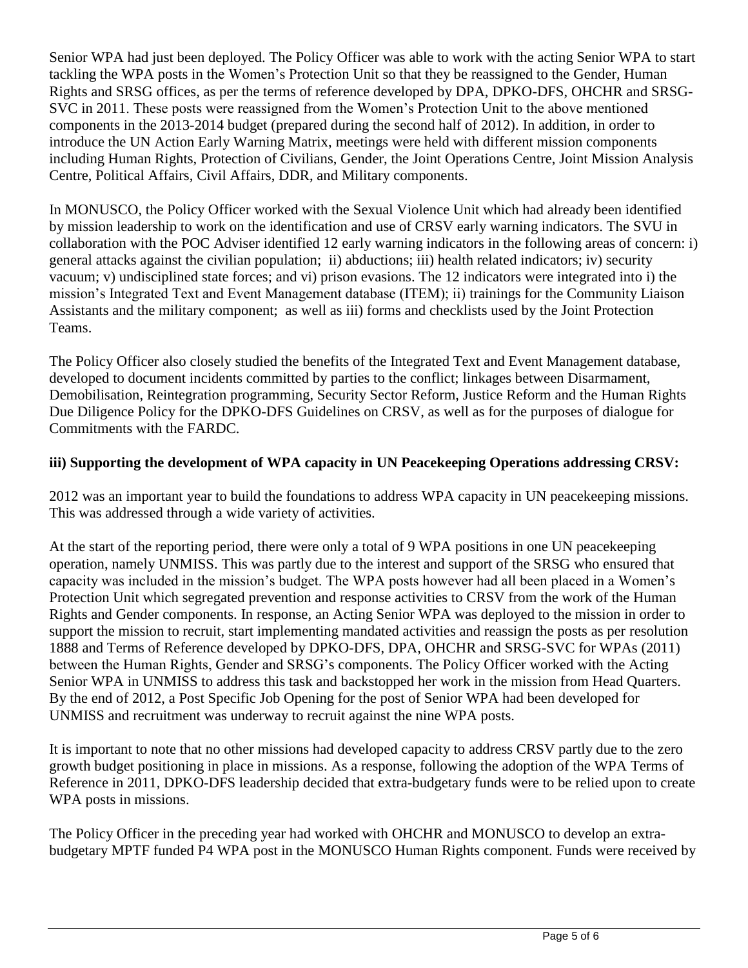Senior WPA had just been deployed. The Policy Officer was able to work with the acting Senior WPA to start tackling the WPA posts in the Women's Protection Unit so that they be reassigned to the Gender, Human Rights and SRSG offices, as per the terms of reference developed by DPA, DPKO-DFS, OHCHR and SRSG-SVC in 2011. These posts were reassigned from the Women's Protection Unit to the above mentioned components in the 2013-2014 budget (prepared during the second half of 2012). In addition, in order to introduce the UN Action Early Warning Matrix, meetings were held with different mission components including Human Rights, Protection of Civilians, Gender, the Joint Operations Centre, Joint Mission Analysis Centre, Political Affairs, Civil Affairs, DDR, and Military components.

In MONUSCO, the Policy Officer worked with the Sexual Violence Unit which had already been identified by mission leadership to work on the identification and use of CRSV early warning indicators. The SVU in collaboration with the POC Adviser identified 12 early warning indicators in the following areas of concern: i) general attacks against the civilian population; ii) abductions; iii) health related indicators; iv) security vacuum; v) undisciplined state forces; and vi) prison evasions. The 12 indicators were integrated into i) the mission's Integrated Text and Event Management database (ITEM); ii) trainings for the Community Liaison Assistants and the military component; as well as iii) forms and checklists used by the Joint Protection Teams.

The Policy Officer also closely studied the benefits of the Integrated Text and Event Management database, developed to document incidents committed by parties to the conflict; linkages between Disarmament, Demobilisation, Reintegration programming, Security Sector Reform, Justice Reform and the Human Rights Due Diligence Policy for the DPKO-DFS Guidelines on CRSV, as well as for the purposes of dialogue for Commitments with the FARDC.

# **iii) Supporting the development of WPA capacity in UN Peacekeeping Operations addressing CRSV:**

2012 was an important year to build the foundations to address WPA capacity in UN peacekeeping missions. This was addressed through a wide variety of activities.

At the start of the reporting period, there were only a total of 9 WPA positions in one UN peacekeeping operation, namely UNMISS. This was partly due to the interest and support of the SRSG who ensured that capacity was included in the mission's budget. The WPA posts however had all been placed in a Women's Protection Unit which segregated prevention and response activities to CRSV from the work of the Human Rights and Gender components. In response, an Acting Senior WPA was deployed to the mission in order to support the mission to recruit, start implementing mandated activities and reassign the posts as per resolution 1888 and Terms of Reference developed by DPKO-DFS, DPA, OHCHR and SRSG-SVC for WPAs (2011) between the Human Rights, Gender and SRSG's components. The Policy Officer worked with the Acting Senior WPA in UNMISS to address this task and backstopped her work in the mission from Head Quarters. By the end of 2012, a Post Specific Job Opening for the post of Senior WPA had been developed for UNMISS and recruitment was underway to recruit against the nine WPA posts.

It is important to note that no other missions had developed capacity to address CRSV partly due to the zero growth budget positioning in place in missions. As a response, following the adoption of the WPA Terms of Reference in 2011, DPKO-DFS leadership decided that extra-budgetary funds were to be relied upon to create WPA posts in missions.

The Policy Officer in the preceding year had worked with OHCHR and MONUSCO to develop an extrabudgetary MPTF funded P4 WPA post in the MONUSCO Human Rights component. Funds were received by